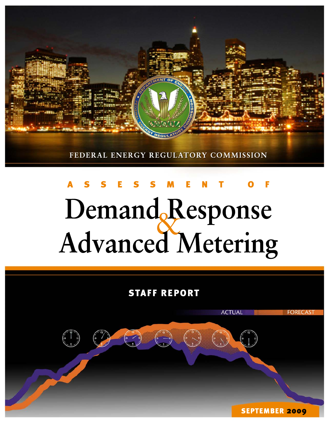

# Demand Response<br>Advanced Metering

# **STAFF REPORT**

 $\begin{pmatrix} 1 \\ 1 \\ 0 \end{pmatrix}$ 

**SEPTEMBER 2009** 

**FORECAST** 

**ACTUAL**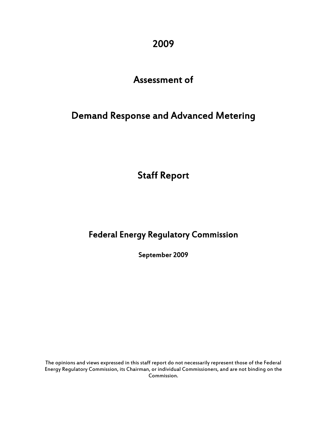2009

## Assessment of

# Demand Response and Advanced Metering

Staff Report

## Federal Energy Regulatory Commission

September 2009

The opinions and views expressed in this staff report do not necessarily represent those of the Federal Energy Regulatory Commission, its Chairman, or individual Commissioners, and are not binding on the Commission.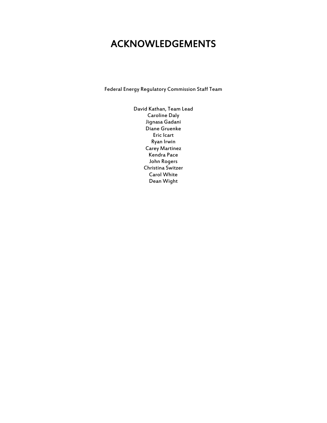# ACKNOWLEDGEMENTS

Federal Energy Regulatory Commission Staff Team

David Kathan, Team Lead Caroline Daly Jignasa Gadani Diane Gruenke Eric Icart Ryan Irwin Carey Martinez Kendra Pace John Rogers Christina Switzer Carol White Dean Wight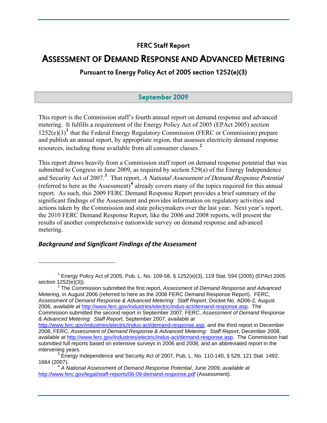### FERC Staff Report

## ASSESSMENT OF DEMAND RESPONSE AND ADVANCED METERING

Pursuant to Energy Policy Act of 2005 section 1252(e)(3)

#### September 2009

This report is the Commission staff's fourth annual report on demand response and advanced metering. It fulfills a requirement of the Energy Policy Act of 2005 (EPAct 2005) section [1](#page-3-0)252(e)(3)<sup>1</sup> that the Federal Energy Regulatory Commission (FERC or Commission) prepare and publish an annual report, by appropriate region, that assesses electricity demand response resources, including those available from all consumer classes. **[2](#page-3-1)**

This report draws heavily from a Commission staff report on demand response potential that was submitted to Congress in June 2009, as required by section 529(a) of the Energy Independence and Security Act of 2007.<sup>[3](#page-3-2)</sup> That report, A National Assessment of Demand Response Potential (referred to here as the Assessment)**[4](#page-3-3)** already covers many of the topics required for this annual report. As such, this 2009 FERC Demand Response Report provides a brief summary of the significant findings of the Assessment and provides information on regulatory activities and actions taken by the Commission and state policymakers over the last year. Next year's report, the 2010 FERC Demand Response Report, like the 2006 and 2008 reports, will present the results of another comprehensive nationwide survey on demand response and advanced metering.

#### *Background and Significant Findings of the Assessment*

 $\overline{a}$ 

<span id="page-3-1"></span> The Commission submitted the first report, *Assessment of Demand Response and Advanced Metering*, in August 2006 (referred to here as the 2006 FERC Demand Response Report). FERC, *Assessment of Demand Response & Advanced Metering: Staff Report*, Docket No. AD06-2, August 2006, *available at* [http://www.ferc.gov/industries/electric/indus-act/demand-response.asp.](http://www.ferc.gov/industries/electric/indus-act/demand-response.asp) The Commission submitted the second report in September 2007, FERC, *Assessment of Demand Response & Advanced Metering*: *Staff Report*, September 2007, *available at*

<span id="page-3-0"></span><sup>1</sup> Energy Policy Act of 2005, Pub. L. No. 109-58, § 1252(e)(3), 119 Stat. 594 (2005) (EPAct 2005 section 1252(e)(3)).

[http://www.ferc.gov/industries/electric/indus-act/demand-response.asp,](http://www.ferc.gov/industries/electric/indus-act/demand-response.asp) and the third report in December 2008, FERC, *Assessment of Demand Response & Advanced Metering: Staff Report*, December 2008, *available at* <http://www.ferc.gov/industries/electric/indus-act/demand-response.asp>. The Commission had submitted full reports based on extensive surveys in 2006 and 2008, and an abbreviated report in the intervening years.

<span id="page-3-2"></span> $3\text{ E}$ nergy Independence and Security Act of 2007, Pub. L. No. 110-140, § 529, 121 Stat. 1492, 1664 (2007). 4 *A National Assessment of Demand Response Potential*, June 2009, *available at*

<span id="page-3-3"></span><http://www.ferc.gov/legal/staff-reports/06-09-demand-response.pdf> (Assessment).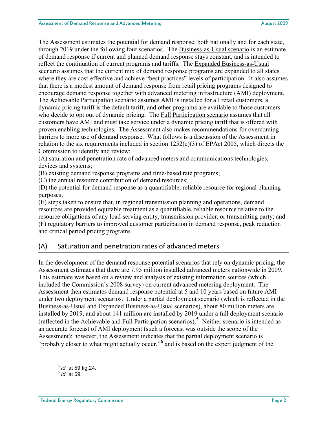The Assessment estimates the potential for demand response, both nationally and for each state, through 2019 under the following four scenarios. The Business-as-Usual scenario is an estimate of demand response if current and planned demand response stays constant, and is intended to reflect the continuation of current programs and tariffs. The Expanded Business-as-Usual scenario assumes that the current mix of demand response programs are expanded to all states where they are cost-effective and achieve "best practices" levels of participation. It also assumes that there is a modest amount of demand response from retail pricing programs designed to encourage demand response together with advanced metering infrastructure (AMI) deployment. The Achievable Participation scenario assumes AMI is installed for all retail customers, a dynamic pricing tariff is the default tariff, and other programs are available to those customers who decide to opt out of dynamic pricing. The Full Participation scenario assumes that all customers have AMI and must take service under a dynamic pricing tariff that is offered with proven enabling technologies. The Assessment also makes recommendations for overcoming barriers to more use of demand response. What follows is a discussion of the Assessment in relation to the six requirements included in section 1252(e)(3) of EPAct 2005, which directs the Commission to identify and review:

(A) saturation and penetration rate of advanced meters and communications technologies, devices and systems;

(B) existing demand response programs and time-based rate programs;

(C) the annual resource contribution of demand resources;

(D) the potential for demand response as a quantifiable, reliable resource for regional planning purposes;

(E) steps taken to ensure that, in regional transmission planning and operations, demand resources are provided equitable treatment as a quantifiable, reliable resource relative to the resource obligations of any load-serving entity, transmission provider, or transmitting party; and (F) regulatory barriers to improved customer participation in demand response, peak reduction and critical period pricing programs.

#### (A) Saturation and penetration rates of advanced meters

In the development of the demand response potential scenarios that rely on dynamic pricing, the Assessment estimates that there are 7.95 million installed advanced meters nationwide in 2009. This estimate was based on a review and analysis of existing information sources (which included the Commission's 2008 survey) on current advanced metering deployment. The Assessment then estimates demand response potential at 5 and 10 years based on future AMI under two deployment scenarios. Under a partial deployment scenario (which is reflected in the Business-as-Usual and Expanded Business-as-Usual scenarios), about 80 million meters are installed by 2019, and about 141 million are installed by 2019 under a full deployment scenario (reflected in the Achievable and Full Participation scenarios).**[5](#page-4-0)** Neither scenario is intended as an accurate forecast of AMI deployment (such a forecast was outside the scope of the Assessment); however, the Assessment indicates that the partial deployment scenario is "probably closer to what might actually occur,"<sup>[6](#page-4-1)</sup> and is based on the expert judgment of the

<span id="page-4-0"></span>**<sup>5</sup>** *Id.* at 59 fig.24. **<sup>6</sup>** *Id.* at 59.

<span id="page-4-1"></span>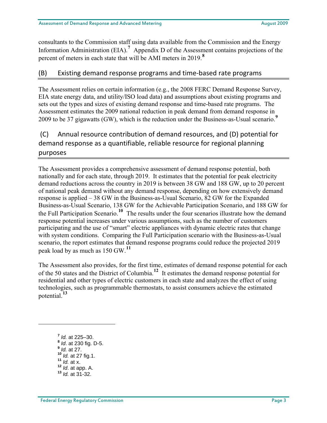consultants to the Commission staff using data available from the Commission and the En ergy Information Administration (EIA).<sup>[7](#page-5-0)</sup> Appendix D of the Assessment contains projections of the percent of meters in each state that will be AMI meters in 2019.<sup>8</sup>

#### (B) Existing demand response programs and time‐based rate programs

The Assessment relies on certain information (e.g., the 2008 FERC Demand Response Survey, EIA state energy data, and utility/ISO load data) and assumptions about existing programs and sets out the types and sizes of existing demand response and time-based rate programs. The Assessment estimates the 2009 national reduction in peak demand from demand response in 2009 to be 37 gigawatts (GW), which is the reduction under the Business-as-Usual scenario.**[9](#page-5-1)**

## (C) Annual resource contribution of demand resources, and (D) potential for demand response as a quantifiable, reliable resource for regional planning purposes

The Assessment provides a comprehensive assessment of demand response potential, both nationally and for each state, through 2019. It estimates that the potential for peak electricity demand reductions across the country in 2019 is between 38 GW and 188 GW, up to 20 percent of national peak demand without any demand response, depending on how extensively demand response is applied – 38 GW in the Business-as-Usual Scenario, 82 GW for the Expanded Business-as-Usual Scenario, 138 GW for the Achievable Participation Scenario, and 188 GW for the Full Participation Scenario.**[10](#page-5-2)** The results under the four scenarios illustrate how the demand response potential increases under various assumptions, such as the number of customers participating and the use of "smart" electric appliances with dynamic electric rates that change with system conditions. Comparing the Full Participation scenario with the Business-as-Usual scenario, the report estimates that demand response programs could reduce the projected 2019 peak load by as much as 150 GW.**[11](#page-5-3)**

The Assessment also provides, for the first time, estimates of demand response potential for each of the 50 states and the District of Columbia.**[12](#page-5-4)** It estimates the demand response potential for residential and other types of electric customers in each state and analyzes the effect of using technologies, such as programmable thermostats, to assist consumers achieve the estimated potential.**[13](#page-5-5)**

<span id="page-5-5"></span><span id="page-5-4"></span><span id="page-5-3"></span><span id="page-5-2"></span><span id="page-5-1"></span><span id="page-5-0"></span> *Id.* at 225–30. *Id*. at 230 fig. D-5. **<sup>9</sup>** *Id.* at 27. *Id.* at 27 fig.1. **<sup>11</sup>** *Id.* at x. *Id*. at app. A. **<sup>13</sup>** *Id.* at 31-32.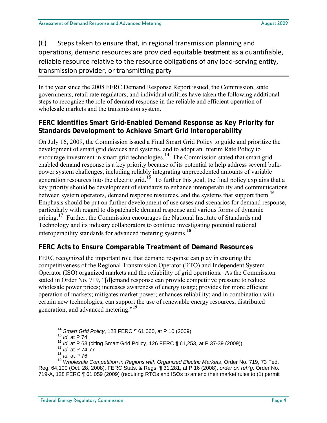(E) Steps taken to ensure that, in regional transmission planning and operations, demand resources are provided equitable treatment as a quantifiable, reliable resource relative to the resource obligations of any load‐serving entity, transmission provider, or transmitting party

In the year since the 2008 FERC Demand Response Report issued, the Commission, state governments, retail rate regulators, and individual utilities have taken the following additional steps to recognize the role of demand response in the reliable and efficient operation of wholesale markets and the transmission system.

#### **FERC Identifies Smart Grid-Enabled Demand Response as Key Priority for Standards Development to Achieve Smart Grid Interoperability**

On July 16, 2009, the Commission issued a Final Smart Grid Policy to guide and prioritize the development of smart grid devices and systems, and to adopt an Interim Rate Policy to encourage investment in smart grid technologies.**[14](#page-6-0)** The Commission stated that smart gridenabled demand response is a key priority because of its potential to help address several bulkpower system challenges, including reliably integrating unprecedented amounts of variable generation resources into the electric grid.**[15](#page-6-1)** To further this goal, the final policy explains that a key priority should be development of standards to enhance interoperability and communications between system operators, demand response resources, and the systems that support them.**[16](#page-6-2)** Emphasis should be put on further development of use cases and scenarios for demand response, particularly with regard to dispatchable demand response and various forms of dynamic pricing.<sup>[17](#page-6-3)</sup> Further, the Commission encourages the National Institute of Standards and Technology and its industry collaborators to continue investigating potential national interoperability standards for advanced metering systems.**[18](#page-6-4)**

#### **FERC Acts to Ensure Comparable Treatment of Demand Resources**

FERC recognized the important role that demand response can play in ensuring the competitiveness of the Regional Transmission Operator (RTO) and Independent System Operator (ISO) organized markets and the reliability of grid operations. As the Commission stated in Order No. 719, "[d]emand response can provide competitive pressure to reduce wholesale power prices; increases awareness of energy usage; provides for more efficient operation of markets; mitigates market power; enhances reliability; and in combination with certain new technologies, can support the use of renewable energy resources, distributed generation, and advanced metering."**[19](#page-6-5)**

<span id="page-6-1"></span><span id="page-6-0"></span>1

**<sup>14</sup>** *Smart Grid Policy*, 128 FERC ¶ 61,060, at P 10 (2009). **<sup>15</sup>** *Id.* at P 74.

**<sup>16</sup>** *Id*. at P 63 (citing Smart Grid Policy, 126 FERC ¶ 61,253, at P 37-39 (2009)). **<sup>17</sup>** *Id.* at P 74-77.

**<sup>18</sup>** *Id.* at P 76.

<span id="page-6-5"></span><span id="page-6-4"></span><span id="page-6-3"></span><span id="page-6-2"></span>**<sup>19</sup>** *Wholesale Competition in Regions with Organized Electric Markets*, Order No. 719, 73 Fed. Reg. 64,100 (Oct. 28, 2008), FERC Stats. & Regs. ¶ 31,281, at P 16 (2008), *order on reh'g,* Order No. 719-A, 128 FERC ¶ 61,059 (2009) (requiring RTOs and ISOs to amend their market rules to (1) permit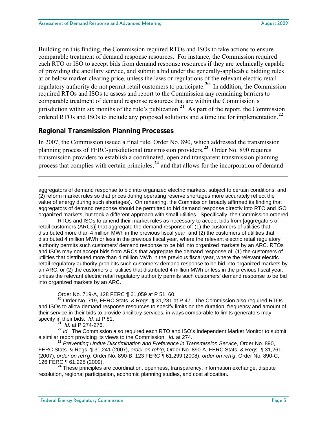Building on this finding, the Commission required RTOs and ISOs to take actions to ensure comparable treatment of demand response resources. For instance, the Commission required each RTO or ISO to accept bids from demand response resources if they are technically capable of providing the ancillary service, and submit a bid under the generally-applicable bidding rules at or below market-clearing price, unless the laws or regulations of the relevant electric retail regulatory authority do not permit retail customers to participate.**[20](#page-7-0)** In addition, the Commission required RTOs and ISOs to assess and report to the Commission any remaining barriers to comparable treatment of demand response resources that are within the Commission's jurisdiction within six months of the rule's publication.**[21](#page-7-1)** As part of the report, the Commission ordered RTOs and ISOs to include any proposed solutions and a timeline for implementation.**[22](#page-7-2)**

#### **Regional Transmission Planning Processes**

In 2007, the Commission issued a final rule, Order No. 890, which addressed the transmission planning process of FERC-jurisdictional transmission providers.**[23](#page-7-3)** Order No. 890 requires transmission providers to establish a coordinated, open and transparent transmission planning process that complies with certain principles,**[24](#page-7-4)** and that allows for the incorporation of demand

aggregators of demand response to bid into organized electric markets, subject to certain conditions, and (2) reform market rules so that prices during operating reserve shortages more accurately reflect the value of energy during such shortages). On rehearing, the Commission broadly affirmed its finding that aggregators of demand response should be permitted to bid demand response directly into RTO and ISO organized markets, but took a different approach with small utilities. Specifically, the Commission ordered

RTOs and ISOs to amend their market rules as necessary to accept bids from [aggregators of retail customers (ARCs)] that aggregate the demand response of: (1) the customers of utilities that distributed more than 4 million MWh in the previous fiscal year, and (2) the customers of utilities that distributed 4 million MWh or less in the previous fiscal year, where the relevant electric retail regulatory authority permits such customers' demand response to be bid into organized markets by an ARC. RTOs and ISOs may not accept bids from ARCs that aggregate the demand response of: (1) the customers of utilities that distributed more than 4 million MWh in the previous fiscal year, where the relevant electric retail regulatory authority prohibits such customers' demand response to be bid into organized markets by an ARC, or (2) the customers of utilities that distributed 4 million MWh or less in the previous fiscal year, unless the relevant electric retail regulatory authority permits such customers' demand response to be bid into organized markets by an ARC.

Order No. 719-A, 128 FERC ¶ 61,059 at P 51, 60.

<span id="page-7-0"></span>**<sup>20</sup>** Order No. 719, FERC Stats. & Regs. ¶ 31,281 at P 47. The Commission also required RTOs and ISOs to allow demand response resources to specify limits on the duration, frequency and amount of their service in their bids to provide ancillary services, in ways comparable to limits generators may specify in their bids. *Id.* at P 81.

**<sup>21</sup>** *Id.* at P 274-276.

 $\overline{a}$ 

<span id="page-7-2"></span><span id="page-7-1"></span>**<sup>22</sup>** *Id.* The Commission also required each RTO and ISO's Independent Market Monitor to submit a similar report providing its views to the Commission. *Id.* at 274.

<span id="page-7-3"></span>**<sup>23</sup>** *Preventing Undue Discrimination and Preference in Transmission Service*, Order No. 890, FERC Stats. & Regs. ¶ 31,241 (2007), *order on reh'g*, Order No. 890-A, FERC Stats. & Regs. ¶ 31,261 (2007), *order on reh'g*, Order No. 890-B, 123 FERC ¶ 61,299 (2008), *order on reh'g*, Order No. 890-C,

<span id="page-7-4"></span><sup>24</sup> These principles are coordination, openness, transparency, information exchange, dispute resolution, regional participation, economic planning studies, and cost allocation.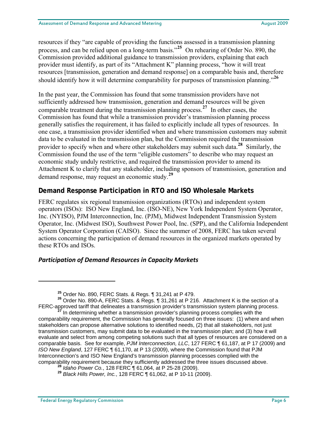resources if they "are capable of providing the functions assessed in a transmission planning process, and can be relied upon on a long-term basis."<sup>[25](#page-8-0)</sup> On rehearing of Order No. 890, the Commission provided additional guidance to transmission providers, explaining that each provider must identify, as part of its "Attachment K" planning process, "how it will treat resources [transmission, generation and demand response] on a comparable basis and, therefore should identify how it will determine comparability for purposes of transmission planning."**[26](#page-8-1)**

In the past year, the Commission has found that some transmission providers have not sufficiently addressed how transmission, generation and demand resources will be given comparable treatment during the transmission planning process.**[27](#page-8-2)** In other cases, the Commission has found that while a transmission provider's transmission planning process generally satisfies the requirement, it has failed to explicitly include all types of resources. In one case, a transmission provider identified when and where transmission customers may submit data to be evaluated in the transmission plan, but the Commission required the transmission provider to specify when and where other stakeholders may submit such data.**[28](#page-8-3)** Similarly, the Commission found the use of the term "eligible customers" to describe who may request an economic study unduly restrictive, and required the transmission provider to amend its Attachment K to clarify that any stakeholder, including sponsors of transmission, generation and demand response, may request an economic study.**[29](#page-8-4)**

#### **Demand Response Participation in RTO and ISO Wholesale Markets**

FERC regulates six regional transmission organizations (RTOs) and independent system operators (ISOs): ISO New England, Inc. (ISO-NE), New York Independent System Operator, Inc. (NYISO), PJM Interconnection, Inc. (PJM), Midwest Independent Transmission System Operator, Inc. (Midwest ISO), Southwest Power Pool, Inc. (SPP), and the California Independent System Operator Corporation (CAISO). Since the summer of 2008, FERC has taken several actions concerning the participation of demand resources in the organized markets operated by these RTOs and ISOs.

#### *Participation of Demand Resources in Capacity Markets*

<span id="page-8-1"></span><span id="page-8-0"></span>**<sup>25</sup>** Order No. 890, FERC Stats. & Regs. ¶ 31,241 at P 479. **<sup>26</sup>** Order No. 890-A, FERC Stats. & Regs. ¶ 31,261 at P 216. Attachment K is the section of a FERC-approved tariff that delineates a transmission provider's transmission system planning process.<br><sup>27</sup> In determining whether a transmission provider's planning process complies with the

<span id="page-8-2"></span>comparability requirement, the Commission has generally focused on three issues: (1) where and when stakeholders can propose alternative solutions to identified needs, (2) that all stakeholders, not just transmission customers, may submit data to be evaluated in the transmission plan; and (3) how it will evaluate and select from among competing solutions such that all types of resources are considered on a comparable basis. See for example, *PJM Interconnection, LLC*, 127 FERC ¶ 61,187, at P 17 (2009) and *ISO New England*, 127 FERC ¶ 61,170, at P 13 (2009), where the Commission found that PJM Interconnection's and ISO New England's transmission planning processes complied with the comparability requirement because they sufficiently addressed the three issues discussed above.<br><sup>28</sup> Idaho Power Co., 128 FERC ¶ 61,064, at P 25-28 (2009).

<span id="page-8-4"></span><span id="page-8-3"></span>**<sup>&</sup>lt;sup>29</sup>** *Black Hills Power, Inc.***, 128 FERC ¶ 61,062, at P 10-11 (2009).**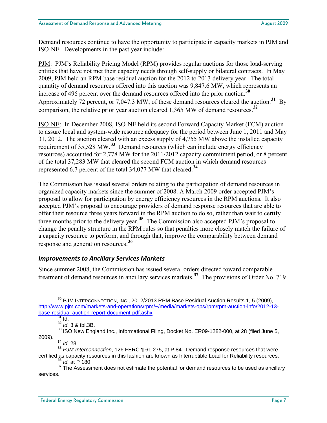Demand resources continue to have the opportunity to participate in capacity markets in PJM and ISO-NE. Developments in the past year include:

PJM: PJM's Reliability Pricing Model (RPM) provides regular auctions for those load-serving entities that have not met their capacity needs through self-supply or bilateral contracts. In May 2009, PJM held an RPM base residual auction for the 2012 to 2013 delivery year. The total quantity of demand resources offered into this auction was 9,847.6 MW, which represents an increase of 496 percent over the demand resources offered into the prior auction.**[30](#page-9-0)** Approximately 72 percent, or 7,047.3 MW, of these demand resources cleared the auction.**[31](#page-9-1)** By comparison, the relative prior year auction cleared 1,365 MW of demand resources.**[32](#page-9-2)**

ISO-NE: In December 2008, ISO-NE held its second Forward Capacity Market (FCM) auction to assure local and system-wide resource adequacy for the period between June 1, 2011 and May 31, 2012. The auction cleared with an excess supply of 4,755 MW above the installed capacity requirement of 35,528 MW.**[33](#page-9-3)** Demand resources (which can include energy efficiency resources) accounted for 2,778 MW for the 2011/2012 capacity commitment period, or 8 percent of the total 37,283 MW that cleared the second FCM auction in which demand resources represented 6.7 percent of the total 34,077 MW that cleared.**[34](#page-9-4)**

The Commission has issued several orders relating to the participation of demand resources in organized capacity markets since the summer of 2008. A March 2009 order accepted PJM's proposal to allow for participation by energy efficiency resources in the RPM auctions. It also accepted PJM's proposal to encourage providers of demand response resources that are able to offer their resource three years forward in the RPM auction to do so, rather than wait to certify three months prior to the delivery year.**[35](#page-9-5)** The Commission also accepted PJM's proposal to change the penalty structure in the RPM rules so that penalties more closely match the failure of a capacity resource to perform, and through that, improve the comparability between demand response and generation resources.**[36](#page-9-6)**

#### *Improvements to Ancillary Services Markets*

Since summer 2008, the Commission has issued several orders directed toward comparable treatment of demand resources in ancillary services markets.**[37](#page-9-7)** The provisions of Order No. 719

<span id="page-9-0"></span>**<sup>30</sup>** PJM INTERCONNECTION, INC., 2012/2013 RPM Base Residual Auction Results 1, 5 (2009), [http://www.pjm.com/markets-and-operations/rpm/~/media/markets-ops/rpm/rpm-auction-info/2012-13](http://www.pjm.com/markets-and-operations/rpm/%7E/media/markets-ops/rpm/rpm-auction-info/2012-13-base-residual-auction-report-document-pdf.ashx) [base-residual-auction-report-document-pdf.ashx.](http://www.pjm.com/markets-and-operations/rpm/%7E/media/markets-ops/rpm/rpm-auction-info/2012-13-base-residual-auction-report-document-pdf.ashx) **<sup>31</sup>** Id.

**<sup>32</sup>** *Id.* 3 & tbl.3B.

<span id="page-9-3"></span><span id="page-9-2"></span><span id="page-9-1"></span>**<sup>33</sup>** ISO New England Inc., Informational Filing, Docket No. ER09-1282-000, at 28 (filed June 5, 2009). **<sup>34</sup>** *Id.* 28.

<span id="page-9-5"></span><span id="page-9-4"></span>**<sup>35</sup>** *PJM Interconnection*, 126 FERC ¶ 61,275, at P 84. Demand response resources that were certified as capacity resources in this fashion are known as Interruptible Load for Reliability resources. **<sup>36</sup>** *Id.* at P 180.

<span id="page-9-7"></span><span id="page-9-6"></span><sup>&</sup>lt;sup>37</sup> The Assessment does not estimate the potential for demand resources to be used as ancillary services.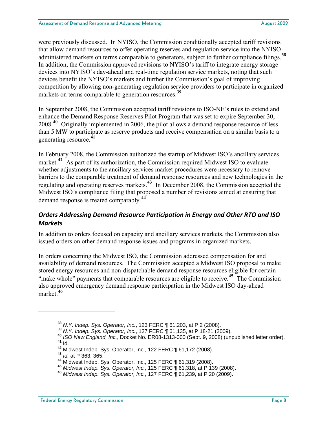were previously discussed. In NYISO, the Commission conditionally accepted tariff revisions that allow demand resources to offer operating reserves and regulation service into the NYISOadministered markets on terms comparable to generators, subject to further compliance filings.**[38](#page-10-0)** In addition, the Commission approved revisions to NYISO's tariff to integrate energy storage devices into NYISO's day-ahead and real-time regulation service markets, noting that such devices benefit the NYISO's markets and further the Commission's goal of improving competition by allowing non-generating regulation service providers to participate in organized markets on terms comparable to generation resources.**[39](#page-10-1)**

In September 2008, the Commission accepted tariff revisions to ISO-NE's rules to extend and enhance the Demand Response Reserves Pilot Program that was set to expire September 30, 2008.**[40](#page-10-2)** Originally implemented in 2006, the pilot allows a demand response resource of less than 5 MW to participate as reserve products and receive compensation on a similar basis to a generating resource.**[41](#page-10-3)**

In February 2008, the Commission authorized the startup of Midwest ISO's ancillary services market.<sup>[42](#page-10-4)</sup> As part of its authorization, the Commission required Midwest ISO to evaluate whether adjustments to the ancillary services market procedures were necessary to remove barriers to the comparable treatment of demand response resources and new technologies in the regulating and operating reserves markets.**[43](#page-10-5)** In December 2008, the Commission accepted the Midwest ISO's compliance filing that proposed a number of revisions aimed at ensuring that demand response is treated comparably.**[44](#page-10-6)**

#### *Orders Addressing Demand Resource Participation in Energy and Other RTO and ISO Markets*

In addition to orders focused on capacity and ancillary services markets, the Commission also issued orders on other demand response issues and programs in organized markets.

In orders concerning the Midwest ISO, the Commission addressed compensation for and availability of demand resources. The Commission accepted a Midwest ISO proposal to make stored energy resources and non-dispatchable demand response resources eligible for certain "make whole" payments that comparable resources are eligible to receive.**[45](#page-10-7)** The Commission also approved emergency demand response participation in the Midwest ISO day-ahead market.**[46](#page-10-8)**

<span id="page-10-2"></span><span id="page-10-1"></span>

<span id="page-10-0"></span><sup>&</sup>lt;sup>38</sup> N.Y. Indep. Sys. Operator, Inc., 123 FERC ¶ 61,203, at P 2 (2008).<br><sup>39</sup> N.Y. Indep. Sys. Operator, Inc., 127 FERC ¶ 61,135, at P 18-21 (2009).<br><sup>40</sup> ISO New England, Inc., Docket No. ER08-1313-000 (Sept. 9, 2008) (unp

<span id="page-10-5"></span><span id="page-10-4"></span><span id="page-10-3"></span>**<sup>42</sup>** Midwest Indep. Sys. Operator, Inc., 122 FERC ¶ 61,172 (2008). **<sup>43</sup>** *Id.* at P 363, 365.

<span id="page-10-8"></span><span id="page-10-7"></span><span id="page-10-6"></span><sup>45</sup> Midwest Indep. Sys. Operator, Inc., 125 FERC 1 61,318, at P 139 (2008).<br>46 Midwest Indep. Sys. Operator, Inc., 127 FERC 1 61,239, at P 20 (2009).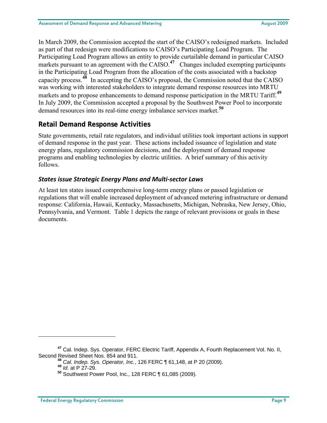In March 2009, the Commission accepted the start of the CAISO's redesigned markets. Included as part of that redesign were modifications to CAISO's Participating Load Program. The Participating Load Program allows an entity to provide curtailable demand in particular CAISO markets pursuant to an agreement with the CAISO.<sup>[47](#page-11-0)</sup> Changes included exempting participants in the Participating Load Program from the allocation of the costs associated with a backstop capacity process.**[48](#page-11-1)** In accepting the CAISO's proposal, the Commission noted that the CAISO was working with interested stakeholders to integrate demand response resources into MRTU markets and to propose enhancements to demand response participation in the MRTU Tariff.**[49](#page-11-2)** In July 2009, the Commission accepted a proposal by the Southwest Power Pool to incorporate demand resources into its real-time energy imbalance services market.**[50](#page-11-3)**

#### **Retail Demand Response Activities**

State governments, retail rate regulators, and individual utilities took important actions in support of demand response in the past year. These actions included issuance of legislation and state energy plans, regulatory commission decisions, and the deployment of demand response programs and enabling technologies by electric utilities. A brief summary of this activity follows.

#### *States issue Strategic Energy Plans and Multi‐sector Laws*

At least ten states issued comprehensive long-term energy plans or passed legislation or regulations that will enable increased deployment of advanced metering infrastructure or demand response: California, Hawaii, Kentucky, Massachusetts, Michigan, Nebraska, New Jersey, Ohio, Pennsylvania, and Vermont. Table 1 depicts the range of relevant provisions or goals in these documents.

<span id="page-11-3"></span><span id="page-11-2"></span><span id="page-11-1"></span><span id="page-11-0"></span>**<sup>47</sup>** Cal. Indep. Sys. Operator, FERC Electric Tariff, Appendix A, Fourth Replacement Vol. No. II, Second Revised Sheet Nos. 854 and 911.

**<sup>48</sup>** *Cal. Indep. Sys. Operator, Inc.*, 126 FERC ¶ 61,148, at P 20 (2009). **<sup>49</sup>** *Id.* at P 27-29.

**<sup>50</sup>** Southwest Power Pool, Inc., 128 FERC ¶ 61,085 (2009).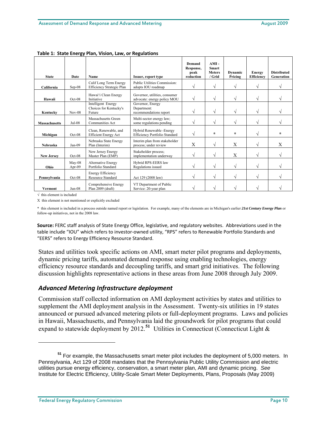|                      | ັ                |                                                        |                                                              |                                          |                                                    |                           |                                    |                                  |
|----------------------|------------------|--------------------------------------------------------|--------------------------------------------------------------|------------------------------------------|----------------------------------------------------|---------------------------|------------------------------------|----------------------------------|
| <b>State</b>         | Date             | Name                                                   | Issuer, report type                                          | Demand<br>Response,<br>peak<br>reduction | $AMI -$<br><b>Smart</b><br><b>Meters</b><br>/ Grid | <b>Dynamic</b><br>Pricing | <b>Energy</b><br><b>Efficiency</b> | <b>Distributed</b><br>Generation |
| California           | $Sep-08$         | Calif Long Term Energy<br>Efficiency Strategic Plan    | Public Utilities Commission:<br>adopts IOU roadmap           | $\sqrt{}$                                | $\sqrt{}$                                          | $\sqrt{ }$                | $\sqrt{ }$                         |                                  |
| Hawaii               | Oct-08           | Hawai'i Clean Energy<br>Initiative                     | Governor, utilities, consumer<br>advocate: energy policy MOU | V                                        | V                                                  | $\sqrt{}$                 | $\sqrt{ }$                         |                                  |
| Kentucky             | $Nov-08$         | Intelligent Energy<br>Choices for Kentucky's<br>Future | Governor, Energy<br>Department:<br>recommendations report    | $\sqrt{}$                                | V                                                  | $\sqrt{ }$                | $\sqrt{ }$                         |                                  |
| <b>Massachusetts</b> | $Jul-08$         | Massachusetts Green<br><b>Communities Act</b>          | Multi-sector energy law;<br>some regulations pending         | V                                        | V                                                  | $\sqrt{}$                 | $\sqrt{ }$                         |                                  |
| Michigan             | $Oct-08$         | Clean, Renewable, and<br><b>Efficient Energy Act</b>   | Hybrid Renewable - Energy<br>Efficiency Portfolio Standard   | $\sqrt{}$                                | $\star$                                            | $\star$                   | $\sqrt{ }$                         | ÷                                |
| <b>Nebraska</b>      | Jan-09           | Nebraska State Energy<br>Plan (Interim)                | Interim plan from stakeholder<br>process; under review       | Χ                                        | $\sqrt{}$                                          | X                         | $\sqrt{ }$                         | X                                |
| <b>New Jersey</b>    | $Oct-08$         | New Jersey Energy<br>Master Plan (EMP)                 | Stakeholder process;<br>implementation underway              | $\sqrt{}$                                | V                                                  | X                         | $\sqrt{ }$                         |                                  |
| Ohio                 | May-08<br>Apr-09 | <b>Alternative Energy</b><br>Portfolio Standard        | Hybrid RPS-EERS law<br>Regulations issued                    | $\sqrt{}$                                | V                                                  | $\sqrt{}$                 | $\sqrt{ }$                         |                                  |
| Pennsylvania         | Oct-08           | <b>Energy Efficiency</b><br><b>Resource Standard</b>   | Act 129 (2008 law)                                           | $\sqrt{}$                                | V                                                  | $\sqrt{}$                 | $\sqrt{ }$                         |                                  |
| <b>Vermont</b>       | $Jun-08$         | Comprehensive Energy<br>Plan 2009 (draft)              | VT Department of Public<br>Service: 20-year plan             | V                                        | V                                                  | V                         | V                                  |                                  |

**Table 1: State Energy Plan, Vision, Law, or Regulations**

√ this element is included

 $\overline{a}$ 

X this element is not mentioned or explicitly excluded

\* this element is included in a process outside named report or legislation. For example, many of the elements are in Michigan's earlier *21st Century Energy Plan* or follow-up initiatives, not in the 2008 law.

**Source:** FERC staff analysis of State Energy Office, legislative, and regulatory websites. Abbreviations used in the table include "IOU" which refers to investor-owned utility, "RPS" refers to Renewable Portfolio Standards and "EERS" refers to Energy Efficiency Resource Standard.

States and utilities took specific actions on AMI, smart meter pilot programs and deployments, dynamic pricing tariffs, automated demand response using enabling technologies, energy efficiency resource standards and decoupling tariffs, and smart grid initiatives. The following discussion highlights representative actions in these areas from June 2008 through July 2009.

#### *Advanced Metering Infrastructure deployment*

Commission staff collected information on AMI deployment activities by states and utilities to supplement the AMI deployment analysis in the Assessment. Twenty-six utilities in 19 states announced or pursued advanced metering pilots or full-deployment programs. Laws and policies in Hawaii, Massachusetts, and Pennsylvania laid the groundwork for pilot programs that could expand to statewide deployment by  $2012$ .<sup>[51](#page-12-0)</sup> Utilities in Connecticut (Connecticut Light &

<span id="page-12-0"></span>**<sup>51</sup>** For example, the Massachusetts smart meter pilot includes the deployment of 5,000 meters. In Pennsylvania, Act 129 of 2008 mandates that the Pennsylvania Public Utility Commission and electric utilities pursue energy efficiency, conservation, a smart meter plan, AMI and dynamic pricing. *See* Institute for Electric Efficiency, Utility-Scale Smart Meter Deployments, Plans, Proposals (May 2009)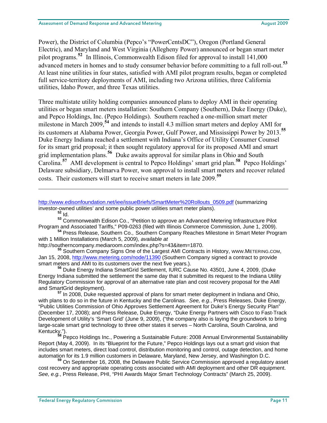Power), the District of Columbia (Pepco's "PowerCentsDC"), Oregon (Portland General Electric), and Maryland and West Virginia (Allegheny Power) announced or began smart meter pilot programs.**[52](#page-13-0)** In Illinois, Commonwealth Edison filed for approval to install 141,000 advanced meters in homes and to study consumer behavior before committing to a full roll-out.**[53](#page-13-1)** At least nine utilities in four states, satisfied with AMI pilot program results, began or completed full service-territory deployments of AMI, including two Arizona utilities, three California utilities, Idaho Power, and three Texas utilities.

Three multistate utility holding companies announced plans to deploy AMI in their operating utilities or began smart meters installation: Southern Company (Southern), Duke Energy (Duke), and Pepco Holdings, Inc. (Pepco Holdings). Southern reached a one-million smart meter milestone in March 2009,**[54](#page-13-2)** and intends to install 4.3 million smart meters and deploy AMI for its customers at Alabama Power, Georgia Power, Gulf Power, and Mississippi Power by 2013.**[55](#page-13-3)** Duke Energy Indiana reached a settlement with Indiana's Office of Utility Consumer Counsel for its smart grid proposal; it then sought regulatory approval for its proposed AMI and smart grid implementation plans.**[56](#page-13-4)** Duke awaits approval for similar plans in Ohio and South Carolina.**[57](#page-13-5)** AMI development is central to Pepco Holdings' smart grid plan.**[58](#page-13-6)** Pepco Holdings' Delaware subsidiary, Delmarva Power, won approval to install smart meters and recover related costs. Their customers will start to receive smart meters in late 2009.**[59](#page-13-7)**

[http://www.edisonfoundation.net/iee/issueBriefs/SmartMeter%20Rollouts\\_0509.pdf](http://www.edisonfoundation.net/iee/issueBriefs/SmartMeter%20Rollouts_0509.pdf) (summarizing investor-owned utilities' and some public power utilities smart meter plans).<br><sup>52</sup> Id

 $\overline{a}$ 

<span id="page-13-1"></span><span id="page-13-0"></span>**<sup>53</sup>** Commonwealth Edison Co., "Petition to approve an Advanced Metering Infrastructure Pilot Program and Associated Tariffs," P09-0263 (filed with Illinois Commerce Commission, June 1, 2009). **<sup>54</sup>** Press Release, Southern Co., Southern Company Reaches Milestone in Smart Meter Program

<span id="page-13-2"></span>with 1 Million Installations (March 5, 2009), *available at*

http://southerncompany.mediaroom.com/index.php?s=43&item=1870.

<span id="page-13-3"></span>**<sup>55</sup>** Southern Company Signs One of the Largest AMI Contracts in History, WWW.METERING.COM, Jan 15, 2008,<http://www.metering.com/node/11390> (Southern Company signed a contract to provide smart meters and AMI to its customers over the next five years.). **<sup>56</sup>** Duke Energy Indiana SmartGrid Settlement, IURC Cause No. 43501, June 4, 2009, (Duke

<span id="page-13-4"></span>Energy Indiana submitted the settlement the same day that it submitted its request to the Indiana Utility Regulatory Commission for approval of an alternative rate plan and cost recovery proposal for the AMI and SmartGrid deployment). **<sup>57</sup>** In 2008, Duke requested approval of plans for smart meter deployment in Indiana and Ohio,

<span id="page-13-5"></span>with plans to do so in the future in Kentucky and the Carolinas. *See, e.g.*, Press Releases, Duke Energy, "Public Utilities Commission of Ohio Approves Settlement Agreement for Duke's Energy Security Plan" (December 17, 2008); and Press Release, Duke Energy, "Duke Energy Partners with Cisco to Fast-Track Development of Utility's 'Smart Grid' (June 9, 2009), ("the company also is laying the groundwork to bring large-scale smart grid technology to three other states it serves – North Carolina, South Carolina, and<br>Kentucky.").

<span id="page-13-6"></span>Pepco Holdings Inc., Powering a Sustainable Future: 2008 Annual Environmental Sustainability Report (May 4, 2009). In its "Blueprint for the Future," Pepco Holdings lays out a smart grid vision that includes smart meters, direct load control, distribution monitoring and control, outage detection, and home automation for its 1.9 million customers in Delaware, Maryland, New Jersey, and Washington D.C.

<span id="page-13-7"></span><sup>59</sup> On September 16, 2008, the Delaware Public Service Commission approved a regulatory asset cost recovery and appropriate operating costs associated with AMI deployment and other DR equipment. *See, e.g.*, Press Release, PHI, "PHI Awards Major Smart Technology Contracts" (March 25, 2009).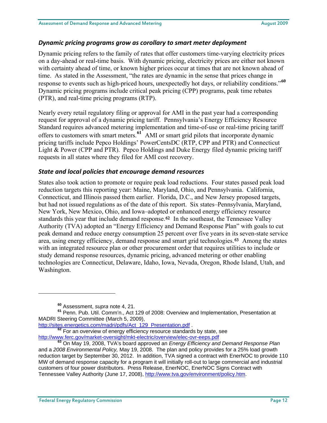#### *Dynamic pricing programs grow as corollary to smart meter deployment*

Dynamic pricing refers to the family of rates that offer customers time-varying electricity prices on a day-ahead or real-time basis. With dynamic pricing, electricity prices are either not known with certainty ahead of time, or known higher prices occur at times that are not known ahead of time. As stated in the Assessment, "the rates are dynamic in the sense that prices change in response to events such as high-priced hours, unexpectedly hot days, or reliability conditions."**[60](#page-14-0)** Dynamic pricing programs include critical peak pricing (CPP) programs, peak time rebates (PTR), and real-time pricing programs (RTP).

Nearly every retail regulatory filing or approval for AMI in the past year had a corresponding request for approval of a dynamic pricing tariff. Pennsylvania's Energy Efficiency Resource Standard requires advanced metering implementation and time-of-use or real-time pricing tariff offers to customers with smart meters.**[61](#page-14-1)** AMI or smart grid pilots that incorporate dynamic pricing tariffs include Pepco Holdings' PowerCentsDC (RTP, CPP and PTR) and Connecticut Light & Power (CPP and PTR). Pepco Holdings and Duke Energy filed dynamic pricing tariff requests in all states where they filed for AMI cost recovery.

#### *State and local policies that encourage demand resources*

States also took action to promote or require peak load reductions. Four states passed peak load reduction targets this reporting year: Maine, Maryland, Ohio, and Pennsylvania. California, Connecticut, and Illinois passed them earlier. Florida, D.C., and New Jersey proposed targets, but had not issued regulations as of the date of this report. Six states–Pennsylvania, Maryland, New York, New Mexico, Ohio, and Iowa–adopted or enhanced energy efficiency resource standards this year that include demand response.[62](#page-14-2) In the southeast, the Tennessee Valley Authority (TVA) adopted an "Energy Efficiency and Demand Response Plan" with goals to cut peak demand and reduce energy consumption 25 percent over five years in its seven-state service area, using energy efficiency, demand response and smart grid technologies.[63](#page-14-3) Among the states with an integrated resource plan or other procurement order that requires utilities to include or study demand response resources, dynamic pricing, advanced metering or other enabling technologies are Connecticut, Delaware, Idaho, Iowa, Nevada, Oregon, Rhode Island, Utah, and Washington.

 $\overline{a}$ 

 $\frac{62}{62}$  For an overview of energy efficiency resource standards by state, see

**<sup>60</sup>** Assessment, *supra* note 4, 21.

<span id="page-14-1"></span><span id="page-14-0"></span>**<sup>61</sup>** Penn. Pub. Util. Comm'n., Act 129 of 2008: Overview and Implementation, Presentation at MADRI Steering Committee (March 5, 2009),<br>http://sites.energetics.com/madri/pdfs/Act\_129\_Presentation.pdf.

<span id="page-14-3"></span><span id="page-14-2"></span><http://www.ferc.gov/market-oversight/mkt-electric/overview/elec-ovr-eeps.pdf> **<sup>63</sup>** On May 19, 2008, TVA's board approved an *Energy Efficiency and Demand Response Plan*  and a *2008 Environmental Policy,* May 19, 2008. The plan and policy provides for a 25% load growth reduction target by September 30, 2012. In addition, TVA signed a contract with EnerNOC to provide 110 MW of demand response capacity for a program it will initially roll-out to large commercial and industrial customers of four power distributors. Press Release, EnerNOC, EnerNOC Signs Contract with Tennessee Valley Authority (June 17, 2008),<http://www.tva.gov/environment/policy.htm>.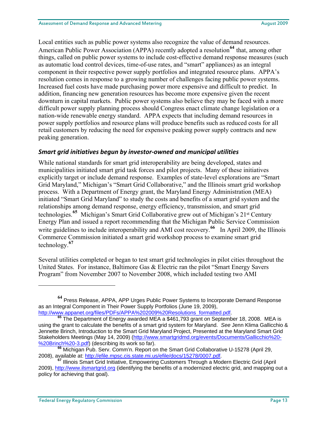Local entities such as public power systems also recognize the value of demand resources. American Public Power Association (APPA) recently adopted a resolution<sup>[64](#page-15-0)</sup> that, among other things, called on public power systems to include cost-effective demand response measures (such as automatic load control devices, time-of-use rates, and "smart" appliances) as an integral component in their respective power supply portfolios and integrated resource plans. APPA's resolution comes in response to a growing number of challenges facing public power systems. Increased fuel costs have made purchasing power more expensive and difficult to predict. In addition, financing new generation resources has become more expensive given the recent downturn in capital markets. Public power systems also believe they may be faced with a more difficult power supply planning process should Congress enact climate change legislation or a nation-wide renewable energy standard. APPA expects that including demand resources in power supply portfolios and resource plans will produce benefits such as reduced costs for all retail customers by reducing the need for expensive peaking power supply contracts and new peaking generation.

#### *Smart grid initiatives begun by investor‐owned and municipal utilities*

While national standards for smart grid interoperability are being developed, states and municipalities initiated smart grid task forces and pilot projects. Many of these initiatives explicitly target or include demand response. Examples of state-level explorations are "Smart Grid Maryland," Michigan's "Smart Grid Collaborative," and the Illinois smart grid workshop process. With a Department of Energy grant, the Maryland Energy Administration (MEA) initiated "Smart Grid Maryland" to study the costs and benefits of a smart grid system and the relationships among demand response, energy efficiency, transmission, and smart grid technologies.**[65](#page-15-1)** Michigan's Smart Grid Collaborative grew out of Michigan's 21st Century Energy Plan and issued a report recommending that the Michigan Public Service Commission write guidelines to include interoperability and AMI cost recovery.<sup>[66](#page-15-2)</sup> In April 2009, the Illinois Commerce Commission initiated a smart grid workshop process to examine smart grid technology.**[67](#page-15-3)**

Several utilities completed or began to test smart grid technologies in pilot cities throughout the United States. For instance, Baltimore Gas & Electric ran the pilot "Smart Energy Savers Program" from November 2007 to November 2008, which included testing two AMI

1

<span id="page-15-0"></span>**<sup>64</sup>** Press Release, APPA, APP Urges Public Power Systems to Incorporate Demand Response as an Integral Component in Their Power Supply Portfolios (June 19, 2009),

<span id="page-15-1"></span>[http://www.appanet.org/files/PDFs/APPA%202009%20Resolutions\\_formatted.pdf.](http://www.appanet.org/files/PDFs/APPA%202009%20Resolutions_formatted.pdf) **<sup>65</sup>** The Department of Energy awarded MEA a \$461,793 grant on September 18, 2008. MEA is using the grant to calculate the benefits of a smart grid system for Maryland. *See* Jenn Klima Gallicchio & Jennette Brinch, Introduction to the Smart Grid Maryland Project, Presented at the Maryland Smart Grid Stakeholders Meetings (May 14, 2009) ([http://www.smartgridmd.org/events/Documents/Gallicchio%20-](http://www.smartgridmd.org/events/Documents/Gallicchio%20-%20Brinch%20-3.pdf)<br>%20Brinch%20-3.pdf) (describing its work so far).

<span id="page-15-2"></span><sup>&</sup>lt;sup>66</sup> Michigan Pub. Serv. Comm'n. Report on the Smart Grid Collaborative U-15278 (April 29, 2008), available at: http://efile.mpsc.cis.state.mi.us/efile/docs/15278/0007.pdf.

<span id="page-15-3"></span><sup>&</sup>lt;sup>67</sup> Illinois Smart Grid Initiative, Empowering Customers Through a Modern Electric Grid (April 2009), [http://www.ilsmartgrid.org](http://www.ilsmartgrid.org/) (identifying the benefits of a modernized electric grid, and mapping out a policy for achieving that goal).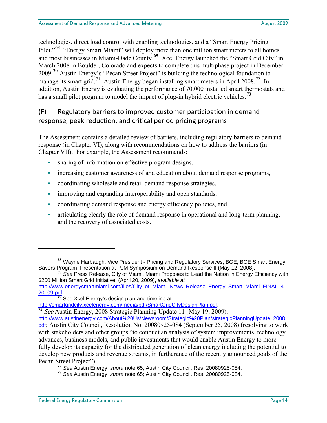technologies, direct load control with enabling technologies, and a "Smart Energy Pricing Pilot."<sup>[68](#page-16-0)</sup> "Energy Smart Miami" will deploy more than one million smart meters to all homes and most businesses in Miami-Dade County.**[69](#page-16-1)** Xcel Energy launched the "Smart Grid City" in March 2008 in Boulder, Colorado and expects to complete this multiphase project in December 2009.**[70](#page-16-2)** Austin Energy's "Pecan Street Project" is building the technological foundation to manage its smart grid.**[71](#page-16-3)** Austin Energy began installing smart meters in April 2008.**[72](#page-16-4)** In addition, Austin Energy is evaluating the performance of 70,000 installed smart thermostats and has a small pilot program to model the impact of plug-in hybrid electric vehicles.**[73](#page-16-5)**

## (F) Regulatory barriers to improved customer participation in demand response, peak reduction, and critical period pricing programs

The Assessment contains a detailed review of barriers, including regulatory barriers to demand response (in Chapter VI), along with recommendations on how to address the barriers (in Chapter VII). For example, the Assessment recommends:

- sharing of information on effective program designs,
- increasing customer awareness of and education about demand response programs,
- coordinating wholesale and retail demand response strategies,
- improving and expanding interoperability and open standards,
- coordinating demand response and energy efficiency policies, and
- articulating clearly the role of demand response in operational and long-term planning, and the recovery of associated costs.

<span id="page-16-0"></span>**<sup>68</sup>** Wayne Harbaugh, Vice President - Pricing and Regulatory Services, BGE, BGE Smart Energy Savers Program, Presentation at PJM Symposium on Demand Response II (May 12, 2008). **<sup>69</sup>** *See* Press Release, City of Miami, Miami Proposes to Lead the Nation in Energy Efficiency with

<span id="page-16-1"></span><sup>\$200</sup> Million Smart Grid Initiative, (April 20, 2009), *available at*

[http://www.energysmartmiami.com/files/City\\_of\\_Miami\\_News\\_Release\\_Energy\\_Smart\\_Miami\\_FINAL\\_4\\_](http://www.energysmartmiami.com/files/City_of_Miami_News_Release_Energy_Smart_Miami_FINAL_4_20_09.pdf) [20\\_09.pdf.](http://www.energysmartmiami.com/files/City_of_Miami_News_Release_Energy_Smart_Miami_FINAL_4_20_09.pdf) **<sup>70</sup>** See Xcel Energy's design plan and timeline at

<span id="page-16-2"></span>[http://smartgridcity.xcelenergy.com/media/pdf/SmartGridCityDesignPlan.pdf.](http://smartgridcity.xcelenergy.com/media/pdf/SmartGridCityDesignPlan.pdf)

<span id="page-16-3"></span>**<sup>71</sup>** See Austin Energy, 2008 Strategic Planning Update 11 (May 19, 2009),

[http://www.austinenergy.com/About%20Us/Newsroom/Strategic%20Plan/strategicPlanningUpdate\\_2008.](http://www.austinenergy.com/About%20Us/Newsroom/Strategic%20Plan/strategicPlanningUpdate_2008.pdf) [pdf](http://www.austinenergy.com/About%20Us/Newsroom/Strategic%20Plan/strategicPlanningUpdate_2008.pdf); Austin City Council, Resolution No. 20080925-084 (September 25, 2008) (resolving to work with stakeholders and other groups "to conduct an analysis of system improvements, technology advances, business models, and public investments that would enable Austin Energy to more fully develop its capacity for the distributed generation of clean energy including the potential to develop new products and revenue streams, in furtherance of the recently announced goals of the Pecan Street Project").

**<sup>72</sup>** *See* Austin Energy, *supra* note 65; Austin City Council, Res. 20080925-084.

<span id="page-16-5"></span><span id="page-16-4"></span>**<sup>73</sup>** *See* Austin Energy, *supra* note 65; Austin City Council, Res. 20080925-084.